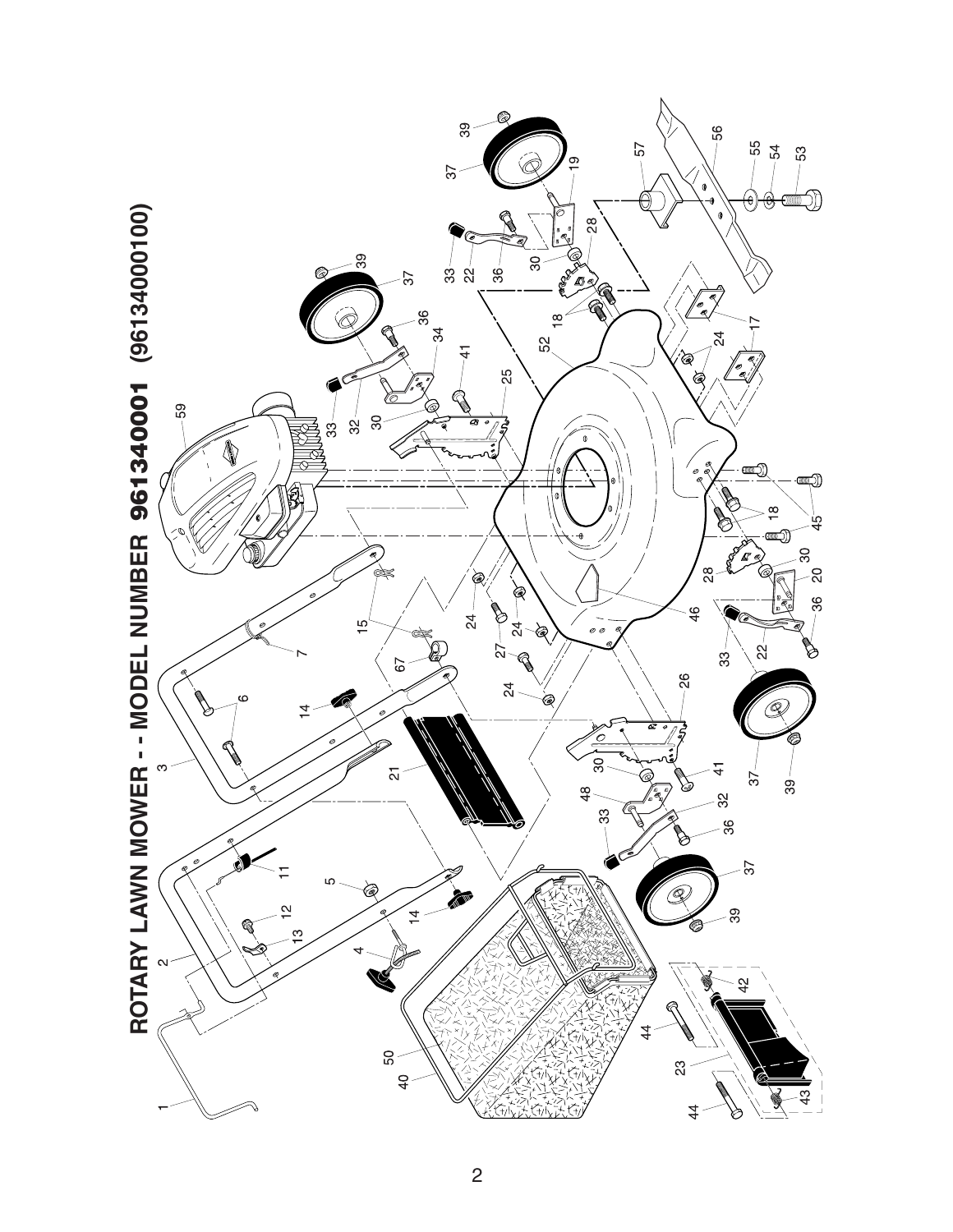